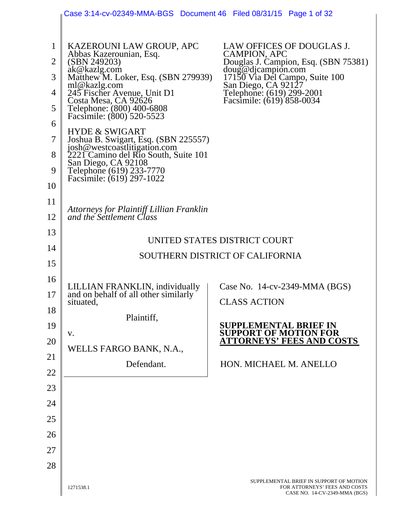|                                                            | Case 3:14-cv-02349-MMA-BGS Document 46 Filed 08/31/15 Page 1 of 32                                                                                                                                                                                                                                                                                                                                                                                                                       |                                                                                                                                                                                                                            |  |  |
|------------------------------------------------------------|------------------------------------------------------------------------------------------------------------------------------------------------------------------------------------------------------------------------------------------------------------------------------------------------------------------------------------------------------------------------------------------------------------------------------------------------------------------------------------------|----------------------------------------------------------------------------------------------------------------------------------------------------------------------------------------------------------------------------|--|--|
| $\mathbf{1}$<br>2<br>3<br>4<br>5<br>6<br>7<br>8<br>9<br>10 | KAZEROUNI LAW GROUP, APC<br>Abbas Kazerounian, Esq.<br>(SBN 249203)<br>ak@kazlg.com<br>Matthew M. Loker, Esq. (SBN 279939)<br>ml@kazlg.com<br>245 Fischer Avenue, Unit D1<br>Costa Mesa, CA 92626<br>Telephone: (800) 400-6808<br>Facsimile: (800) 520-5523<br><b>HYDE &amp; SWIGART</b><br>Joshua B. Swigart, Esq. (SBN 225557)<br>josh@westcoastlitigation.com<br>2221 Camino del Rio South, Suite 101<br>San Diego, CA 92108<br>Telephone (619) 233-7770<br>Facsimile: (619) 297-1022 | LAW OFFICES OF DOUGLAS J.<br>CAMPION, APC<br>Douglas J. Campion, Esq. (SBN 75381)<br>doug@djcampion.com<br>17150 Via Del Campo, Suite 100<br>San Diego, CA 92127<br>Telephone: (619) 299-2001<br>Facsimile: (619) 858-0034 |  |  |
| 11                                                         | Attorneys for Plaintiff Lillian Franklin                                                                                                                                                                                                                                                                                                                                                                                                                                                 |                                                                                                                                                                                                                            |  |  |
| 12                                                         | and the Settlement Class                                                                                                                                                                                                                                                                                                                                                                                                                                                                 |                                                                                                                                                                                                                            |  |  |
| 13                                                         |                                                                                                                                                                                                                                                                                                                                                                                                                                                                                          | UNITED STATES DISTRICT COURT                                                                                                                                                                                               |  |  |
| 14                                                         |                                                                                                                                                                                                                                                                                                                                                                                                                                                                                          | SOUTHERN DISTRICT OF CALIFORNIA                                                                                                                                                                                            |  |  |
| 15                                                         |                                                                                                                                                                                                                                                                                                                                                                                                                                                                                          |                                                                                                                                                                                                                            |  |  |
| 16                                                         | LILLIAN FRANKLIN, individually                                                                                                                                                                                                                                                                                                                                                                                                                                                           | Case No. $14$ -cv-2349-MMA (BGS)                                                                                                                                                                                           |  |  |
| 17<br>18                                                   | and on behalf of all other similarly<br>situated,                                                                                                                                                                                                                                                                                                                                                                                                                                        | <b>CLASS ACTION</b>                                                                                                                                                                                                        |  |  |
| 19                                                         | Plaintiff,                                                                                                                                                                                                                                                                                                                                                                                                                                                                               | <b>SUPPLEMENTAL BRIEF IN</b>                                                                                                                                                                                               |  |  |
| 20                                                         | V.                                                                                                                                                                                                                                                                                                                                                                                                                                                                                       | <b>SUPPORT OF MOTION FOR</b><br><b>ATTORNEYS' FEES AND COSTS</b>                                                                                                                                                           |  |  |
| 21                                                         | WELLS FARGO BANK, N.A.,                                                                                                                                                                                                                                                                                                                                                                                                                                                                  |                                                                                                                                                                                                                            |  |  |
| 22                                                         | Defendant.                                                                                                                                                                                                                                                                                                                                                                                                                                                                               | HON. MICHAEL M. ANELLO                                                                                                                                                                                                     |  |  |
| 23                                                         |                                                                                                                                                                                                                                                                                                                                                                                                                                                                                          |                                                                                                                                                                                                                            |  |  |
| 24                                                         |                                                                                                                                                                                                                                                                                                                                                                                                                                                                                          |                                                                                                                                                                                                                            |  |  |
| 25                                                         |                                                                                                                                                                                                                                                                                                                                                                                                                                                                                          |                                                                                                                                                                                                                            |  |  |
| 26                                                         |                                                                                                                                                                                                                                                                                                                                                                                                                                                                                          |                                                                                                                                                                                                                            |  |  |
| 27                                                         |                                                                                                                                                                                                                                                                                                                                                                                                                                                                                          |                                                                                                                                                                                                                            |  |  |
| 28                                                         |                                                                                                                                                                                                                                                                                                                                                                                                                                                                                          |                                                                                                                                                                                                                            |  |  |
|                                                            | 1271538.1                                                                                                                                                                                                                                                                                                                                                                                                                                                                                | SUPPLEMENTAL BRIEF IN SUPPORT OF MOTION<br>FOR ATTORNEYS' FEES AND COSTS<br>CASE NO. 14-CV-2349-MMA (BGS)                                                                                                                  |  |  |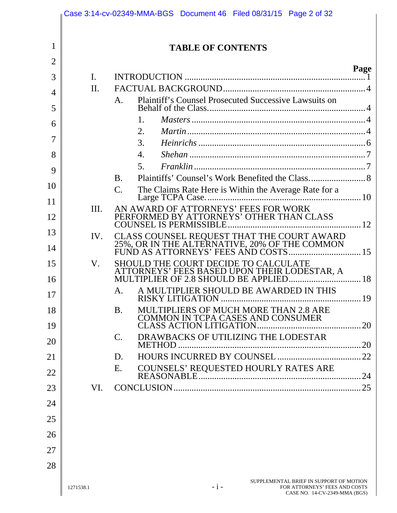|                |                | Case 3:14-cv-02349-MMA-BGS Document 46 Filed 08/31/15 Page 2 of 32                                                 |      |
|----------------|----------------|--------------------------------------------------------------------------------------------------------------------|------|
|                |                |                                                                                                                    |      |
| 1              |                | <b>TABLE OF CONTENTS</b>                                                                                           |      |
| $\overline{2}$ |                |                                                                                                                    | Page |
| 3              | $\mathbf{I}$ . |                                                                                                                    |      |
| $\overline{4}$ | $\Pi$ .        |                                                                                                                    |      |
| 5              |                | Plaintiff's Counsel Prosecuted Successive Lawsuits on<br>A.                                                        |      |
| 6              |                | 1.                                                                                                                 |      |
| 7              |                | 2.                                                                                                                 |      |
| 8              |                | 3.<br>4.                                                                                                           |      |
|                |                | 5 <sub>1</sub>                                                                                                     |      |
| 9              |                | <b>B.</b>                                                                                                          |      |
| 10             |                | The Claims Rate Here is Within the Average Rate for a<br>$C_{\cdot}$                                               |      |
| 11             | Ш.             | AN AWARD OF ATTORNEYS' FEES FOR WORK                                                                               |      |
| 12             |                | PERFORMED BY ATTORNEYS' OTHER THAN CLASS                                                                           |      |
| 13             | IV.            |                                                                                                                    |      |
| 14             |                |                                                                                                                    |      |
| 15<br>16       | V.             | <b>SHOULD THE COURT DECIDE TO CALCULATE</b>                                                                        |      |
| 17             |                | A MULTIPLIER SHOULD BE AWARDED IN THIS<br>A.<br>RISKY LITIGATION                                                   | 19   |
| 18             |                | <b>MULTIPLIERS OF MUCH MORE THAN 2.8 ARE</b><br><b>B.</b>                                                          |      |
| 19             |                |                                                                                                                    |      |
| 20             |                | DRAWBACKS OF UTILIZING THE LODESTAR<br>$\mathbf{C}$ .                                                              |      |
| 21             |                | D.                                                                                                                 |      |
| 22             |                | COUNSELS' REQUESTED HOURLY RATES ARE<br>E.                                                                         |      |
| 23             | VI.            |                                                                                                                    |      |
| 24             |                |                                                                                                                    |      |
| 25             |                |                                                                                                                    |      |
| 26             |                |                                                                                                                    |      |
|                |                |                                                                                                                    |      |
| 27             |                |                                                                                                                    |      |
| 28             |                |                                                                                                                    |      |
|                | 1271538.1      | SUPPLEMENTAL BRIEF IN SUPPORT OF MOTION<br>$-1-$<br>FOR ATTORNEYS' FEES AND COSTS<br>CASE NO. 14-CV-2349-MMA (BGS) |      |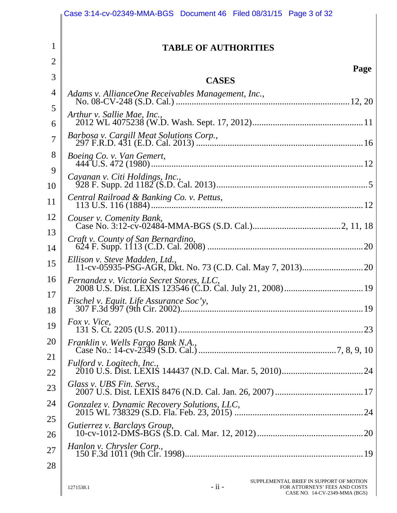|                | Case 3:14-cv-02349-MMA-BGS Document 46 Filed 08/31/15 Page 3 of 32                                                                |
|----------------|-----------------------------------------------------------------------------------------------------------------------------------|
| $\mathbf{1}$   | <b>TABLE OF AUTHORITIES</b>                                                                                                       |
| $\overline{2}$ |                                                                                                                                   |
| 3              | Page<br><b>CASES</b>                                                                                                              |
| 4              | Adams v. AllianceOne Receivables Management, Inc.,                                                                                |
| 5              | Arthur v. Sallie Mae, Inc.,                                                                                                       |
| 6<br>7         | Barbosa v. Cargill Meat Solutions Corp.,                                                                                          |
| 8              | Boeing Co. v. Van Gemert,                                                                                                         |
| 9              |                                                                                                                                   |
| 10             | Cayanan v. Citi Holdings, Inc.,                                                                                                   |
| 11             |                                                                                                                                   |
| 12             | Couser v. Comenity Bank,                                                                                                          |
| 13<br>14       |                                                                                                                                   |
| 15             | Ellison v. Steve Madden, Ltd.,                                                                                                    |
| 16             | Fernandez v. Victoria Secret Stores, LLC,                                                                                         |
| 17             |                                                                                                                                   |
| 18             | Fox v. Vice,                                                                                                                      |
| 19             |                                                                                                                                   |
| 20<br>21       | Franklin v. Wells Fargo Bank N.A.,                                                                                                |
| 22             | Fulford v. Logitech, Inc.,                                                                                                        |
| 23             | Glass v. UBS Fin. Servs.,                                                                                                         |
| 24             | Gonzalez v. Dynamic Recovery Solutions, LLC,                                                                                      |
| 25             | Gutierrez v. Barclays Group,                                                                                                      |
| 26<br>27       | Hanlon v. Chrysler Corp.,                                                                                                         |
| 28             |                                                                                                                                   |
|                | SUPPLEMENTAL BRIEF IN SUPPORT OF MOTION<br>$-ii -$<br>FOR ATTORNEYS' FEES AND COSTS<br>1271538.1<br>CASE NO. 14-CV-2349-MMA (BGS) |

 $\overline{\phantom{a}}$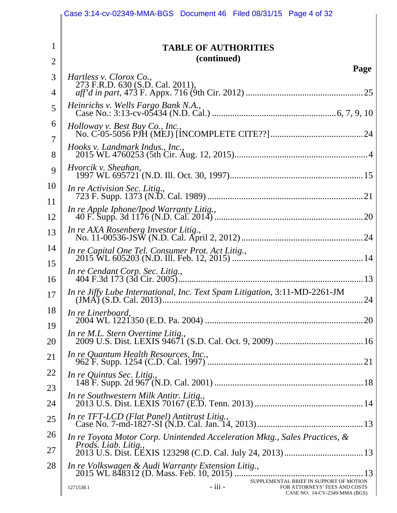|                | Case 3:14-cv-02349-MMA-BGS Document 46 Filed 08/31/15 Page 4 of 32                                                                |
|----------------|-----------------------------------------------------------------------------------------------------------------------------------|
|                |                                                                                                                                   |
| 1              | <b>TABLE OF AUTHORITIES</b>                                                                                                       |
| $\overline{2}$ | (continued)<br>Page                                                                                                               |
| 3<br>4         | Hartless v. Clorox Co.,<br>273 F.R.D. 630 (S.D. Cal. 2011),                                                                       |
| 5              | Heinrichs v. Wells Fargo Bank N.A.,                                                                                               |
| 6              |                                                                                                                                   |
| 7              | Holloway v. Best Buy Co., Inc.,                                                                                                   |
| 8              | Hooks v. Landmark Indus., Inc.,                                                                                                   |
| 9              | Hvorcik v. Sheahan,                                                                                                               |
| 10<br>11       | In re Activision Sec. Litig.,                                                                                                     |
| 12             |                                                                                                                                   |
| 13             | In re AXA Rosenberg Investor Litig.,                                                                                              |
| 14<br>15       |                                                                                                                                   |
| 16             | In re Cendant Corp. Sec. Litig.,                                                                                                  |
| 17             | In re Jiffy Lube International, Inc. Text Spam Litigation, 3:11-MD-2261-JM                                                        |
| 18             | In re Linerboard,                                                                                                                 |
| 19<br>20       | In re M.L. Stern Overtime Litig.,                                                                                                 |
| 21             | In re Quantum Health Resources, Inc.,                                                                                             |
| 22             | In re Quintus Sec. Litig.,                                                                                                        |
| 23<br>24       | In re Southwestern Milk Antitr. Litig.,                                                                                           |
| 25             | In re TFT-LCD (Flat Panel) Antitrust Litig.,                                                                                      |
| 26             | In re Toyota Motor Corp. Unintended Acceleration Mktg., Sales Practices, &                                                        |
| 27             | <i>Prods. Liab. Litig.,</i>                                                                                                       |
| 28             | In re Volkswagen & Audi Warranty Extension Litig.,                                                                                |
|                | SUPPLEMENTAL BRIEF IN SUPPORT OF MOTION<br>- iii -<br>FOR ATTORNEYS' FEES AND COSTS<br>1271538.1<br>CASE NO. 14-CV-2349-MMA (BGS) |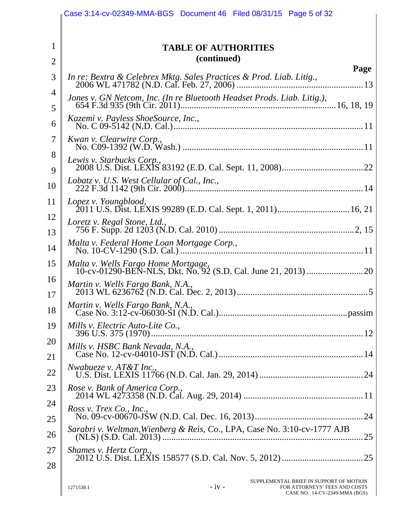|                | Case 3:14-cv-02349-MMA-BGS Document 46 Filed 08/31/15 Page 5 of 32                                                                |
|----------------|-----------------------------------------------------------------------------------------------------------------------------------|
|                |                                                                                                                                   |
| $\mathbf{1}$   | <b>TABLE OF AUTHORITIES</b>                                                                                                       |
| $\overline{2}$ | (continued)                                                                                                                       |
| 3              | Page<br>In re: Bextra & Celebrex Mktg. Sales Practices & Prod. Liab. Litig.,                                                      |
| 4<br>5         |                                                                                                                                   |
| 6              | Kazemi v. Payless ShoeSource, Inc.,                                                                                               |
| 7              | Kwan v. Clearwire Corp.,                                                                                                          |
| 8<br>9         | Lewis v. Starbucks Corp.,                                                                                                         |
| 10             |                                                                                                                                   |
| 11             | Lopez v. Youngblood,                                                                                                              |
| 12<br>13       | Loretz v. Regal Stone, Ltd.,                                                                                                      |
| 14             |                                                                                                                                   |
| 15             | Malta v. Wells Fargo Home Mortgage,                                                                                               |
| 16<br>17       | Martin v. Wells Fargo Bank, N.A.,                                                                                                 |
| 18             |                                                                                                                                   |
| 19             | Mills v. Electric Auto-Lite Co.,                                                                                                  |
| 20<br>21       | Mills v. HSBC Bank Nevada, N.A.,                                                                                                  |
| 22             | Nwabueze v. $AT&T$ Inc.,                                                                                                          |
| 23             | Rose v. Bank of America Corp.,                                                                                                    |
| 24<br>25       | Ross v. Trex Co., Inc.,                                                                                                           |
| 26             | Sarabri v. Weltman, Wienberg & Reis, Co., LPA, Case No. 3:10-cv-1777 AJB                                                          |
| 27             | Shames v. Hertz Corp.,                                                                                                            |
| 28             |                                                                                                                                   |
|                | SUPPLEMENTAL BRIEF IN SUPPORT OF MOTION<br>$-iv -$<br>FOR ATTORNEYS' FEES AND COSTS<br>1271538.1<br>CASE NO. 14-CV-2349-MMA (BGS) |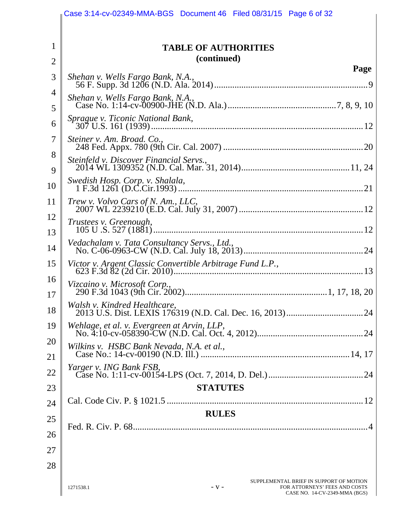|                | Case 3:14-cv-02349-MMA-BGS Document 46 Filed 08/31/15 Page 6 of 32                                                               |
|----------------|----------------------------------------------------------------------------------------------------------------------------------|
|                |                                                                                                                                  |
| $\mathbf{1}$   | <b>TABLE OF AUTHORITIES</b>                                                                                                      |
| $\overline{2}$ | (continued)                                                                                                                      |
| 3              | Page<br>Shehan v. Wells Fargo Bank, N.A.,                                                                                        |
| 4              | Shehan v. Wells Fargo Bank, N.A.,                                                                                                |
| 5              |                                                                                                                                  |
| 6              | Sprague v. Ticonic National Bank,                                                                                                |
| 7              | Steiner v. Am. Broad. Co.,                                                                                                       |
| 8<br>9         | Steinfeld v. Discover Financial Servs.,                                                                                          |
| 10             | Swedish Hosp. Corp. v. Shalala,                                                                                                  |
| 11             | Trew v. Volvo Cars of N. Am., LLC,                                                                                               |
| 12             | Trustees v. Greenough,                                                                                                           |
| 13             |                                                                                                                                  |
| 14             | Vedachalam v. Tata Consultancy Servs., Ltd.,                                                                                     |
| 15             | Victor v. Argent Classic Convertible Arbitrage Fund L.P.,                                                                        |
| 16<br>17       | Vizcaino v. Microsoft Corp.,                                                                                                     |
| 18             | Walsh v. Kindred Healthcare,                                                                                                     |
| 19             | Wehlage, et al. v. Evergreen at Arvin, LLP,                                                                                      |
| 20             | Wilkins v. HSBC Bank Nevada, N.A. et al.,                                                                                        |
| 21             |                                                                                                                                  |
| 22             |                                                                                                                                  |
| 23             | <b>STATUTES</b>                                                                                                                  |
| 24             |                                                                                                                                  |
| 25             | <b>RULES</b>                                                                                                                     |
| 26             |                                                                                                                                  |
| 27             |                                                                                                                                  |
| 28             |                                                                                                                                  |
|                | SUPPLEMENTAL BRIEF IN SUPPORT OF MOTION<br>$-V -$<br>FOR ATTORNEYS' FEES AND COSTS<br>1271538.1<br>CASE NO. 14-CV-2349-MMA (BGS) |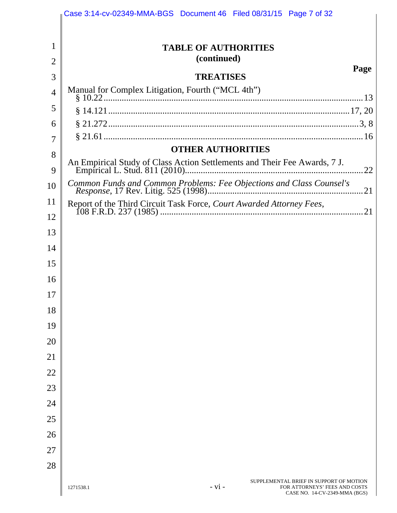|                | Case 3:14-cv-02349-MMA-BGS Document 46 Filed 08/31/15 Page 7 of 32                                                                 |
|----------------|------------------------------------------------------------------------------------------------------------------------------------|
|                |                                                                                                                                    |
| 1              | <b>TABLE OF AUTHORITIES</b><br>(continued)                                                                                         |
| $\overline{2}$ | Page                                                                                                                               |
| 3              | <b>TREATISES</b><br>Manual for Complex Litigation, Fourth ("MCL 4th")                                                              |
| $\overline{4}$ |                                                                                                                                    |
| 5              |                                                                                                                                    |
| 6              |                                                                                                                                    |
| 7              |                                                                                                                                    |
| 8              | <b>OTHER AUTHORITIES</b>                                                                                                           |
| 9              | 22                                                                                                                                 |
| 10             | Common Funds and Common Problems: Fee Objections and Class Counsel's                                                               |
| 11             |                                                                                                                                    |
| 12             |                                                                                                                                    |
| 13             |                                                                                                                                    |
| 14             |                                                                                                                                    |
| 15             |                                                                                                                                    |
| 16             |                                                                                                                                    |
| 17             |                                                                                                                                    |
| 18             |                                                                                                                                    |
| 19             |                                                                                                                                    |
| 20             |                                                                                                                                    |
| 21             |                                                                                                                                    |
| 22             |                                                                                                                                    |
| 23             |                                                                                                                                    |
| 24             |                                                                                                                                    |
| 25             |                                                                                                                                    |
| 26             |                                                                                                                                    |
| 27             |                                                                                                                                    |
|                |                                                                                                                                    |
| 28             |                                                                                                                                    |
|                | SUPPLEMENTAL BRIEF IN SUPPORT OF MOTION<br>$- vi -$<br>FOR ATTORNEYS' FEES AND COSTS<br>1271538.1<br>CASE NO. 14-CV-2349-MMA (BGS) |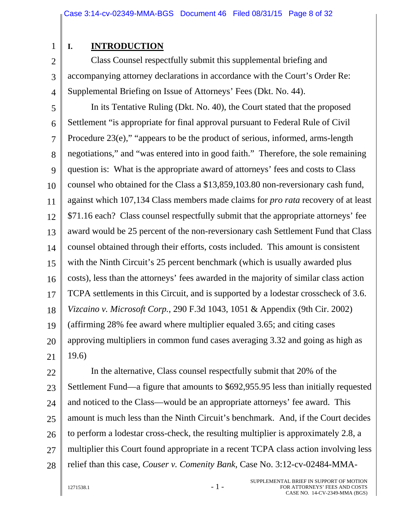1 2

3

4

# **I. INTRODUCTION**

Class Counsel respectfully submit this supplemental briefing and accompanying attorney declarations in accordance with the Court's Order Re: Supplemental Briefing on Issue of Attorneys' Fees (Dkt. No. 44).

5 6 7 8 9 10 11 12 13 14 15 16 17 18 19 20 21 In its Tentative Ruling (Dkt. No. 40), the Court stated that the proposed Settlement "is appropriate for final approval pursuant to Federal Rule of Civil Procedure 23(e)," "appears to be the product of serious, informed, arms-length negotiations," and "was entered into in good faith." Therefore, the sole remaining question is: What is the appropriate award of attorneys' fees and costs to Class counsel who obtained for the Class a \$13,859,103.80 non-reversionary cash fund, against which 107,134 Class members made claims for *pro rata* recovery of at least \$71.16 each? Class counsel respectfully submit that the appropriate attorneys' fee award would be 25 percent of the non-reversionary cash Settlement Fund that Class counsel obtained through their efforts, costs included. This amount is consistent with the Ninth Circuit's 25 percent benchmark (which is usually awarded plus costs), less than the attorneys' fees awarded in the majority of similar class action TCPA settlements in this Circuit, and is supported by a lodestar crosscheck of 3.6. *Vizcaino v. Microsoft Corp.*, 290 F.3d 1043, 1051 & Appendix (9th Cir. 2002) (affirming 28% fee award where multiplier equaled 3.65; and citing cases approving multipliers in common fund cases averaging 3.32 and going as high as 19.6)

22 23 24 25 26 27 28 In the alternative, Class counsel respectfully submit that 20% of the Settlement Fund—a figure that amounts to \$692,955.95 less than initially requested and noticed to the Class—would be an appropriate attorneys' fee award. This amount is much less than the Ninth Circuit's benchmark. And, if the Court decides to perform a lodestar cross-check, the resulting multiplier is approximately 2.8, a multiplier this Court found appropriate in a recent TCPA class action involving less relief than this case, *Couser v. Comenity Bank*, Case No. 3:12-cv-02484-MMA-

 $1271538.1$  - 1 -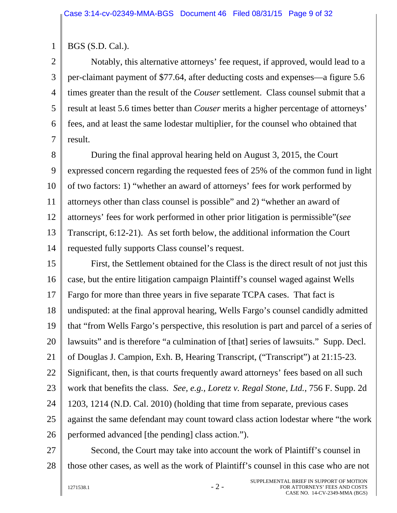1 BGS (S.D. Cal.).

2 3 4 5 6 7 Notably, this alternative attorneys' fee request, if approved, would lead to a per-claimant payment of \$77.64, after deducting costs and expenses—a figure 5.6 times greater than the result of the *Couser* settlement. Class counsel submit that a result at least 5.6 times better than *Couser* merits a higher percentage of attorneys' fees, and at least the same lodestar multiplier, for the counsel who obtained that result.

8 9 10 11 12 13 14 During the final approval hearing held on August 3, 2015, the Court expressed concern regarding the requested fees of 25% of the common fund in light of two factors: 1) "whether an award of attorneys' fees for work performed by attorneys other than class counsel is possible" and 2) "whether an award of attorneys' fees for work performed in other prior litigation is permissible"(*see* Transcript, 6:12-21). As set forth below, the additional information the Court requested fully supports Class counsel's request.

15 16 17 18 19 20 21 22 23 24 25 26 First, the Settlement obtained for the Class is the direct result of not just this case, but the entire litigation campaign Plaintiff's counsel waged against Wells Fargo for more than three years in five separate TCPA cases. That fact is undisputed: at the final approval hearing, Wells Fargo's counsel candidly admitted that "from Wells Fargo's perspective, this resolution is part and parcel of a series of lawsuits" and is therefore "a culmination of [that] series of lawsuits." Supp. Decl. of Douglas J. Campion, Exh. B, Hearing Transcript, ("Transcript") at 21:15-23. Significant, then, is that courts frequently award attorneys' fees based on all such work that benefits the class. *See, e.g., Loretz v. Regal Stone, Ltd.*, 756 F. Supp. 2d 1203, 1214 (N.D. Cal. 2010) (holding that time from separate, previous cases against the same defendant may count toward class action lodestar where "the work performed advanced [the pending] class action.").

27 28 Second, the Court may take into account the work of Plaintiff's counsel in those other cases, as well as the work of Plaintiff's counsel in this case who are not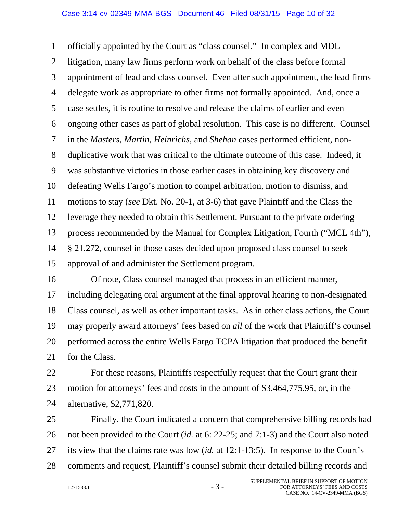#### Case 3:14-cv-02349-MMA-BGS Document 46 Filed 08/31/15 Page 10 of 32

1 2 3 4 5 6 7 8 9 10 11 12 13 14 15 officially appointed by the Court as "class counsel." In complex and MDL litigation, many law firms perform work on behalf of the class before formal appointment of lead and class counsel. Even after such appointment, the lead firms delegate work as appropriate to other firms not formally appointed. And, once a case settles, it is routine to resolve and release the claims of earlier and even ongoing other cases as part of global resolution. This case is no different. Counsel in the *Masters*, *Martin*, *Heinrichs*, and *Shehan* cases performed efficient, nonduplicative work that was critical to the ultimate outcome of this case. Indeed, it was substantive victories in those earlier cases in obtaining key discovery and defeating Wells Fargo's motion to compel arbitration, motion to dismiss, and motions to stay (*see* Dkt. No. 20-1, at 3-6) that gave Plaintiff and the Class the leverage they needed to obtain this Settlement. Pursuant to the private ordering process recommended by the Manual for Complex Litigation, Fourth ("MCL 4th"), § 21.272, counsel in those cases decided upon proposed class counsel to seek approval of and administer the Settlement program.

16 17 18 19 20 21 Of note, Class counsel managed that process in an efficient manner, including delegating oral argument at the final approval hearing to non-designated Class counsel, as well as other important tasks. As in other class actions, the Court may properly award attorneys' fees based on *all* of the work that Plaintiff's counsel performed across the entire Wells Fargo TCPA litigation that produced the benefit for the Class.

22 23 24 For these reasons, Plaintiffs respectfully request that the Court grant their motion for attorneys' fees and costs in the amount of \$3,464,775.95, or, in the alternative, \$2,771,820.

25 26 27 28 Finally, the Court indicated a concern that comprehensive billing records had not been provided to the Court (*id.* at 6: 22-25; and 7:1-3) and the Court also noted its view that the claims rate was low (*id.* at 12:1-13:5). In response to the Court's comments and request, Plaintiff's counsel submit their detailed billing records and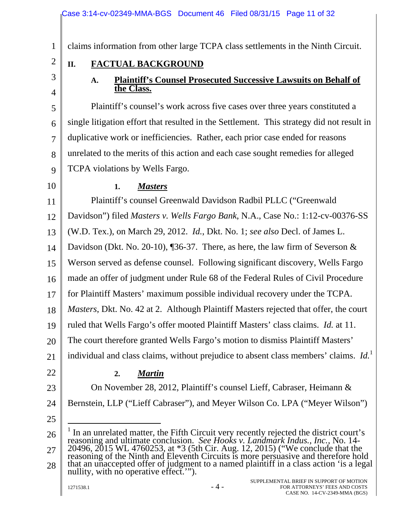claims information from other large TCPA class settlements in the Ninth Circuit.

# 2

# **II. FACTUAL BACKGROUND**

# 3 4

1

## **A. Plaintiff's Counsel Prosecuted Successive Lawsuits on Behalf of the Class.**

5 6 7 8 9 Plaintiff's counsel's work across five cases over three years constituted a single litigation effort that resulted in the Settlement. This strategy did not result in duplicative work or inefficiencies. Rather, each prior case ended for reasons unrelated to the merits of this action and each case sought remedies for alleged TCPA violations by Wells Fargo.

10

## **1.** *Masters*

11 12 13 14 15 16 17 18 19 20 21 Plaintiff's counsel Greenwald Davidson Radbil PLLC ("Greenwald Davidson") filed *Masters v. Wells Fargo Bank*, N.A., Case No.: 1:12-cv-00376-SS (W.D. Tex.), on March 29, 2012. *Id.*, Dkt. No. 1; *see also* Decl. of James L. Davidson (Dkt. No. 20-10), ¶36-37. There, as here, the law firm of Severson & Werson served as defense counsel. Following significant discovery, Wells Fargo made an offer of judgment under Rule 68 of the Federal Rules of Civil Procedure for Plaintiff Masters' maximum possible individual recovery under the TCPA. *Masters*, Dkt. No. 42 at 2. Although Plaintiff Masters rejected that offer, the court ruled that Wells Fargo's offer mooted Plaintiff Masters' class claims. *Id.* at 11. The court therefore granted Wells Fargo's motion to dismiss Plaintiff Masters' individual and class claims, without prejudice to absent class members' claims. *Id.*<sup>1</sup>

22

# **2.** *Martin*

23 24 On November 28, 2012, Plaintiff's counsel Lieff, Cabraser, Heimann & Bernstein, LLP ("Lieff Cabraser"), and Meyer Wilson Co. LPA ("Meyer Wilson")

25

 $\overline{a}$ 

<sup>26</sup>  27 28 <sup>1</sup> In an unrelated matter, the Fifth Circuit very recently rejected the district court's In an unrelated matter, the Fifth Circuit very recently rejected the district court's reasoning and ultimate conclusion. *See Hooks v. Landmark Indus., Inc.*, No. 14- 20496, 2015 WL 4760253, at \*3 (5th Cir. Aug. 12, 2015) ("We conclude that the reasoning of the Ninth and Eleventh Circuits is more persuasive and therefore hold that an unaccepted offer of judgment to a named plaintiff in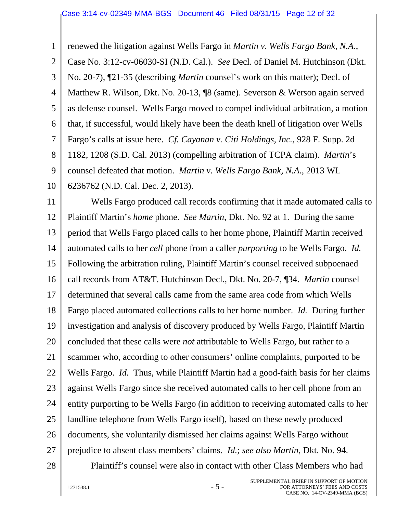1 2 3 4 5 6 7 8 9 10 renewed the litigation against Wells Fargo in *Martin v. Wells Fargo Bank, N.A.*, Case No. 3:12-cv-06030-SI (N.D. Cal.). *See* Decl. of Daniel M. Hutchinson (Dkt. No. 20-7), ¶21-35 (describing *Martin* counsel's work on this matter); Decl. of Matthew R. Wilson, Dkt. No. 20-13, ¶8 (same). Severson & Werson again served as defense counsel. Wells Fargo moved to compel individual arbitration, a motion that, if successful, would likely have been the death knell of litigation over Wells Fargo's calls at issue here. *Cf. Cayanan v. Citi Holdings, Inc.*, 928 F. Supp. 2d 1182, 1208 (S.D. Cal. 2013) (compelling arbitration of TCPA claim). *Martin*'s counsel defeated that motion. *Martin v. Wells Fargo Bank, N.A.*, 2013 WL 6236762 (N.D. Cal. Dec. 2, 2013).

11 12 13 14 15 16 17 18 19 20 21 22 23 24 25 26 27 Wells Fargo produced call records confirming that it made automated calls to Plaintiff Martin's *home* phone. *See Martin*, Dkt. No. 92 at 1. During the same period that Wells Fargo placed calls to her home phone, Plaintiff Martin received automated calls to her *cell* phone from a caller *purporting* to be Wells Fargo. *Id.* Following the arbitration ruling, Plaintiff Martin's counsel received subpoenaed call records from AT&T. Hutchinson Decl., Dkt. No. 20-7, ¶34. *Martin* counsel determined that several calls came from the same area code from which Wells Fargo placed automated collections calls to her home number. *Id.* During further investigation and analysis of discovery produced by Wells Fargo, Plaintiff Martin concluded that these calls were *not* attributable to Wells Fargo, but rather to a scammer who, according to other consumers' online complaints, purported to be Wells Fargo. *Id.* Thus, while Plaintiff Martin had a good-faith basis for her claims against Wells Fargo since she received automated calls to her cell phone from an entity purporting to be Wells Fargo (in addition to receiving automated calls to her landline telephone from Wells Fargo itself), based on these newly produced documents, she voluntarily dismissed her claims against Wells Fargo without prejudice to absent class members' claims. *Id.*; *see also Martin*, Dkt. No. 94.

28

Plaintiff's counsel were also in contact with other Class Members who had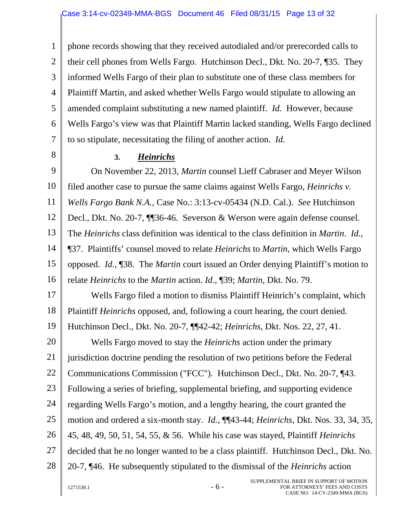1 2 3 4 5 6 7 phone records showing that they received autodialed and/or prerecorded calls to their cell phones from Wells Fargo. Hutchinson Decl., Dkt. No. 20-7, ¶35. They informed Wells Fargo of their plan to substitute one of these class members for Plaintiff Martin, and asked whether Wells Fargo would stipulate to allowing an amended complaint substituting a new named plaintiff. *Id.* However, because Wells Fargo's view was that Plaintiff Martin lacked standing, Wells Fargo declined to so stipulate, necessitating the filing of another action. *Id.*

8

### **3.** *Heinrichs*

9 10 11 12 13 14 15 16 On November 22, 2013, *Martin* counsel Lieff Cabraser and Meyer Wilson filed another case to pursue the same claims against Wells Fargo, *Heinrichs v. Wells Fargo Bank N.A.*, Case No.: 3:13-cv-05434 (N.D. Cal.). *See* Hutchinson Decl., Dkt. No. 20-7, ¶¶36-46. Severson & Werson were again defense counsel. The *Heinrichs* class definition was identical to the class definition in *Martin*. *Id.*, ¶37. Plaintiffs' counsel moved to relate *Heinrichs* to *Martin*, which Wells Fargo opposed. *Id.*, ¶38. The *Martin* court issued an Order denying Plaintiff's motion to relate *Heinrichs* to the *Martin* action. *Id.*, ¶39; *Martin*, Dkt. No. 79.

17 18 19 Wells Fargo filed a motion to dismiss Plaintiff Heinrich's complaint, which Plaintiff *Heinrichs* opposed, and, following a court hearing, the court denied. Hutchinson Decl., Dkt. No. 20-7, ¶¶42-42; *Heinrichs*, Dkt. Nos. 22, 27, 41.

20 21 22 23 24 25 26 27 28 Wells Fargo moved to stay the *Heinrichs* action under the primary jurisdiction doctrine pending the resolution of two petitions before the Federal Communications Commission ("FCC"). Hutchinson Decl., Dkt. No. 20-7, ¶43. Following a series of briefing, supplemental briefing, and supporting evidence regarding Wells Fargo's motion, and a lengthy hearing, the court granted the motion and ordered a six-month stay. *Id.*, ¶¶43-44; *Heinrichs*, Dkt. Nos. 33, 34, 35, 45, 48, 49, 50, 51, 54, 55, & 56. While his case was stayed, Plaintiff *Heinrichs* decided that he no longer wanted to be a class plaintiff. Hutchinson Decl., Dkt. No. 20-7, ¶46. He subsequently stipulated to the dismissal of the *Heinrichs* action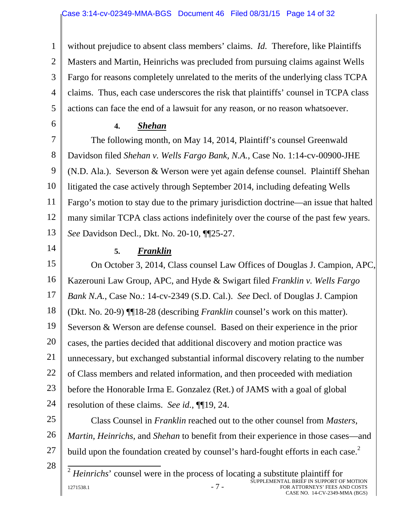1 2 3 4 5 without prejudice to absent class members' claims. *Id.* Therefore, like Plaintiffs Masters and Martin, Heinrichs was precluded from pursuing claims against Wells Fargo for reasons completely unrelated to the merits of the underlying class TCPA claims. Thus, each case underscores the risk that plaintiffs' counsel in TCPA class actions can face the end of a lawsuit for any reason, or no reason whatsoever.

### **4.** *Shehan*

7 8 9 10 11 12 13 The following month, on May 14, 2014, Plaintiff's counsel Greenwald Davidson filed *Shehan v. Wells Fargo Bank, N.A.*, Case No. 1:14-cv-00900-JHE (N.D. Ala.). Severson & Werson were yet again defense counsel. Plaintiff Shehan litigated the case actively through September 2014, including defeating Wells Fargo's motion to stay due to the primary jurisdiction doctrine—an issue that halted many similar TCPA class actions indefinitely over the course of the past few years. *See* Davidson Decl., Dkt. No. 20-10, ¶¶25-27.

14

6

## **5.** *Franklin*

15 16 17 18 19 20 21 22 23 24 On October 3, 2014, Class counsel Law Offices of Douglas J. Campion, APC, Kazerouni Law Group, APC, and Hyde & Swigart filed *Franklin v. Wells Fargo Bank N.A.*, Case No.: 14-cv-2349 (S.D. Cal.). *See* Decl. of Douglas J. Campion (Dkt. No. 20-9) ¶¶18-28 (describing *Franklin* counsel's work on this matter). Severson & Werson are defense counsel. Based on their experience in the prior cases, the parties decided that additional discovery and motion practice was unnecessary, but exchanged substantial informal discovery relating to the number of Class members and related information, and then proceeded with mediation before the Honorable Irma E. Gonzalez (Ret.) of JAMS with a goal of global resolution of these claims. *See id.*, ¶¶19, 24.

25 26 27 Class Counsel in *Franklin* reached out to the other counsel from *Masters*, *Martin*, *Heinrichs*, and *Shehan* to benefit from their experience in those cases—and build upon the foundation created by counsel's hard-fought efforts in each case.<sup>2</sup>

28

 $\overline{ }$ 

 $1271538.1$  -  $7$  -SUPPLEMENTAL BRIEF IN SUPPORT OF MOTION FOR ATTORNEYS' FEES AND COSTS CASE NO. 14-CV-2349-MMA (BGS) <sup>2</sup> *Heinrichs*' counsel were in the process of locating a substitute plaintiff for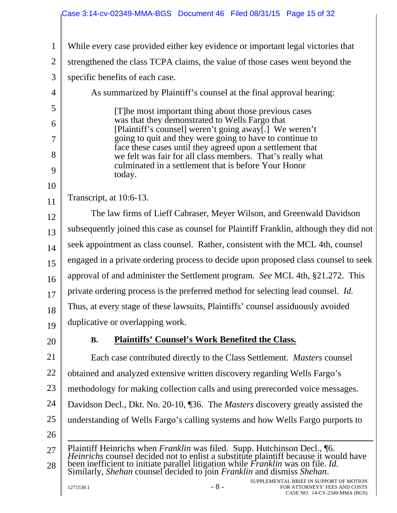1 2 3 4 5 6 7 8 9 10 11 12 13 14 15 16 17 18 19 20 21 22 23 24 25 26 27 28 While every case provided either key evidence or important legal victories that strengthened the class TCPA claims, the value of those cases went beyond the specific benefits of each case. As summarized by Plaintiff's counsel at the final approval hearing: [T]he most important thing about those previous cases was that they demonstrated to Wells Fargo that [Plaintiff's counsel] weren't going away[.] We weren't going to quit and they were going to have to continue to face these cases until they agreed upon a settlement that we felt was fair for all class members. That's really what culminated in a settlement that is before Your Honor today. Transcript, at 10:6-13. The law firms of Lieff Cabraser, Meyer Wilson, and Greenwald Davidson subsequently joined this case as counsel for Plaintiff Franklin, although they did not seek appointment as class counsel. Rather, consistent with the MCL 4th, counsel engaged in a private ordering process to decide upon proposed class counsel to seek approval of and administer the Settlement program. *See* MCL 4th, §21.272. This private ordering process is the preferred method for selecting lead counsel. *Id.* Thus, at every stage of these lawsuits, Plaintiffs' counsel assiduously avoided duplicative or overlapping work. **B. Plaintiffs' Counsel's Work Benefited the Class.**  Each case contributed directly to the Class Settlement. *Masters* counsel obtained and analyzed extensive written discovery regarding Wells Fargo's methodology for making collection calls and using prerecorded voice messages. Davidson Decl., Dkt. No. 20-10, ¶36. The *Masters* discovery greatly assisted the understanding of Wells Fargo's calling systems and how Wells Fargo purports to Plaintiff Heinrichs when *Franklin* was filed. Supp. Hutchinson Decl., 16.<br>*Heinrichs* counsel decided not to enlist a substitute plaintiff because it would have<br>been inefficient to initiate parallel litigation while *Fran* Similarly, *Shehan* counsel decided to join *Franklin* and dismiss *Shehan*.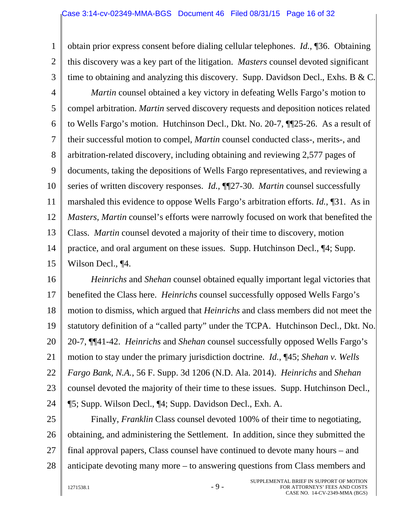1 2 3 4 5 6 7 8 9 10 11 12 13 14 15 obtain prior express consent before dialing cellular telephones. *Id.*, ¶36. Obtaining this discovery was a key part of the litigation. *Masters* counsel devoted significant time to obtaining and analyzing this discovery. Supp. Davidson Decl., Exhs. B & C. *Martin* counsel obtained a key victory in defeating Wells Fargo's motion to compel arbitration. *Martin* served discovery requests and deposition notices related to Wells Fargo's motion. Hutchinson Decl., Dkt. No. 20-7, ¶¶25-26. As a result of their successful motion to compel, *Martin* counsel conducted class-, merits-, and arbitration-related discovery, including obtaining and reviewing 2,577 pages of documents, taking the depositions of Wells Fargo representatives, and reviewing a series of written discovery responses. *Id.*, ¶¶27-30. *Martin* counsel successfully marshaled this evidence to oppose Wells Fargo's arbitration efforts. *Id.*, ¶31. As in *Masters*, *Martin* counsel's efforts were narrowly focused on work that benefited the Class. *Martin* counsel devoted a majority of their time to discovery, motion practice, and oral argument on these issues. Supp. Hutchinson Decl., ¶4; Supp. Wilson Decl., ¶4.

16 17 18 19 20 21 22 23 24 *Heinrichs* and *Shehan* counsel obtained equally important legal victories that benefited the Class here. *Heinrichs* counsel successfully opposed Wells Fargo's motion to dismiss, which argued that *Heinrichs* and class members did not meet the statutory definition of a "called party" under the TCPA. Hutchinson Decl., Dkt. No. 20-7, ¶¶41-42. *Heinrichs* and *Shehan* counsel successfully opposed Wells Fargo's motion to stay under the primary jurisdiction doctrine. *Id.*, ¶45; *Shehan v. Wells Fargo Bank, N.A.*, 56 F. Supp. 3d 1206 (N.D. Ala. 2014). *Heinrichs* and *Shehan*  counsel devoted the majority of their time to these issues. Supp. Hutchinson Decl., ¶5; Supp. Wilson Decl., ¶4; Supp. Davidson Decl., Exh. A.

25 26 27 28 Finally, *Franklin* Class counsel devoted 100% of their time to negotiating, obtaining, and administering the Settlement. In addition, since they submitted the final approval papers, Class counsel have continued to devote many hours – and anticipate devoting many more – to answering questions from Class members and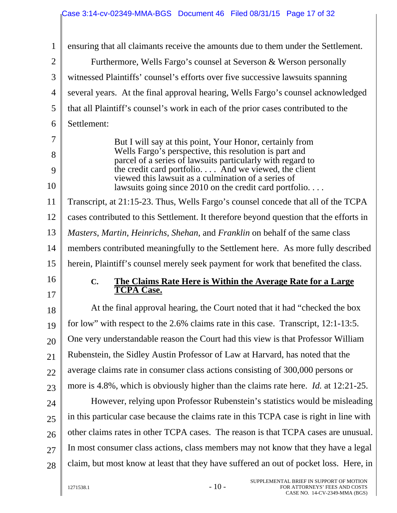| $\mathbf{1}$   | ensuring that all claimants receive the amounts due to them under the Settlement.                                    |
|----------------|----------------------------------------------------------------------------------------------------------------------|
| $\overline{2}$ | Furthermore, Wells Fargo's counsel at Severson & Werson personally                                                   |
| 3              | witnessed Plaintiffs' counsel's efforts over five successive lawsuits spanning                                       |
| $\overline{4}$ | several years. At the final approval hearing, Wells Fargo's counsel acknowledged                                     |
| 5              | that all Plaintiff's counsel's work in each of the prior cases contributed to the                                    |
| 6              | Settlement:                                                                                                          |
| 7              | But I will say at this point, Your Honor, certainly from                                                             |
| 8              | Wells Fargo's perspective, this resolution is part and<br>parcel of a series of lawsuits particularly with regard to |
| 9              | the credit card portfolio And we viewed, the client                                                                  |
| 10             | viewed this lawsuit as a culmination of a series of<br>lawsuits going since $2010$ on the credit card portfolio      |
| 11             | Transcript, at 21:15-23. Thus, Wells Fargo's counsel concede that all of the TCPA                                    |
| 12             | cases contributed to this Settlement. It therefore beyond question that the efforts in                               |
| 13             | Masters, Martin, Heinrichs, Shehan, and Franklin on behalf of the same class                                         |
| 14             | members contributed meaningfully to the Settlement here. As more fully described                                     |
| 15             | herein, Plaintiff's counsel merely seek payment for work that benefited the class.                                   |
| 16             | <b>The Claims Rate Here is Within the Average Rate for a Large</b><br>$\mathbf{C}$ .                                 |
| 17             | <b>TCPA Case.</b>                                                                                                    |
| 18             | At the final approval hearing, the Court noted that it had "checked the box"                                         |
| 19             | for low" with respect to the 2.6% claims rate in this case. Transcript, 12:1-13:5.                                   |
| 20             | One very understandable reason the Court had this view is that Professor William                                     |
| 21             | Rubenstein, the Sidley Austin Professor of Law at Harvard, has noted that the                                        |
| 22             | average claims rate in consumer class actions consisting of 300,000 persons or                                       |
| 23             | more is 4.8%, which is obviously higher than the claims rate here. <i>Id.</i> at 12:21-25.                           |
| 24             | However, relying upon Professor Rubenstein's statistics would be misleading                                          |
| 25             | in this particular case because the claims rate in this TCPA case is right in line with                              |
| 26             | other claims rates in other TCPA cases. The reason is that TCPA cases are unusual.                                   |
| 27             | In most consumer class actions, class members may not know that they have a legal                                    |
| 28             | claim, but most know at least that they have suffered an out of pocket loss. Here, in                                |
|                |                                                                                                                      |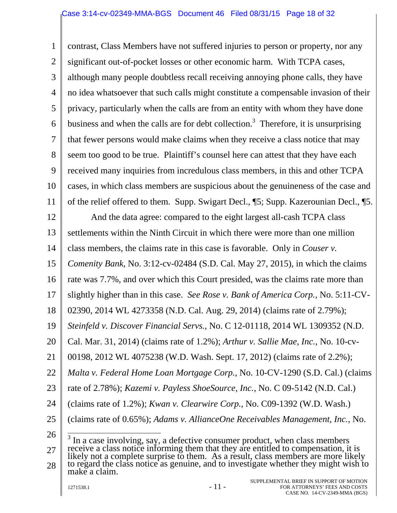1 2 3 4 5 6 7 8 9 10 11 12 13 14 15 16 17 18 19 20 21 22 23 24 25 26 27 28 contrast, Class Members have not suffered injuries to person or property, nor any significant out-of-pocket losses or other economic harm. With TCPA cases, although many people doubtless recall receiving annoying phone calls, they have no idea whatsoever that such calls might constitute a compensable invasion of their privacy, particularly when the calls are from an entity with whom they have done business and when the calls are for debt collection.<sup>3</sup> Therefore, it is unsurprising that fewer persons would make claims when they receive a class notice that may seem too good to be true. Plaintiff's counsel here can attest that they have each received many inquiries from incredulous class members, in this and other TCPA cases, in which class members are suspicious about the genuineness of the case and of the relief offered to them. Supp. Swigart Decl., ¶5; Supp. Kazerounian Decl., ¶5. And the data agree: compared to the eight largest all-cash TCPA class settlements within the Ninth Circuit in which there were more than one million class members, the claims rate in this case is favorable. Only in *Couser v. Comenity Bank*, No. 3:12-cv-02484 (S.D. Cal. May 27, 2015), in which the claims rate was 7.7%, and over which this Court presided, was the claims rate more than slightly higher than in this case. *See Rose v. Bank of America Corp.*, No. 5:11-CV-02390, 2014 WL 4273358 (N.D. Cal. Aug. 29, 2014) (claims rate of 2.79%); *Steinfeld v. Discover Financial Servs.*, No. C 12-01118, 2014 WL 1309352 (N.D. Cal. Mar. 31, 2014) (claims rate of 1.2%); *Arthur v. Sallie Mae, Inc.*, No. 10-cv-00198, 2012 WL 4075238 (W.D. Wash. Sept. 17, 2012) (claims rate of 2.2%); *Malta v. Federal Home Loan Mortgage Corp.*, No. 10-CV-1290 (S.D. Cal.) (claims rate of 2.78%); *Kazemi v. Payless ShoeSource, Inc.*, No. C 09-5142 (N.D. Cal.) (claims rate of 1.2%); *Kwan v. Clearwire Corp.*, No. C09-1392 (W.D. Wash.) (claims rate of 0.65%); *Adams v. AllianceOne Receivables Management, Inc.*, No.  $\frac{3}{10}$  In a case involving, say, a defective consumer product, when class members receive a class notice informing them that they are entitled to compensation, it is likely not a complete surprise to them. As a result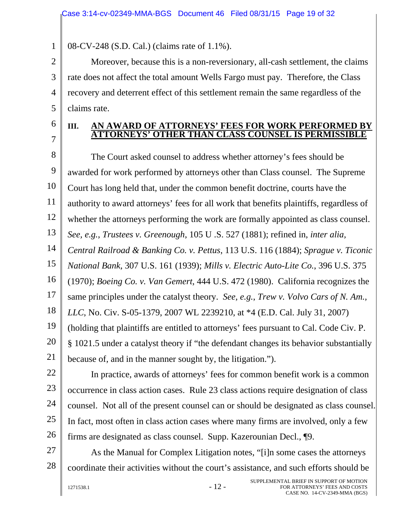08-CV-248 (S.D. Cal.) (claims rate of 1.1%).

2 3 4 Moreover, because this is a non-reversionary, all-cash settlement, the claims rate does not affect the total amount Wells Fargo must pay. Therefore, the Class recovery and deterrent effect of this settlement remain the same regardless of the claims rate.

## 6 7

5

1

### **III. AN AWARD OF ATTORNEYS' FEES FOR WORK PERFORMED BY ATTORNEYS' OTHER THAN CLASS COUNSEL IS PERMISSIBLE**

8 9 10 11 12 13 14 15 16 17 18 19 20 21 The Court asked counsel to address whether attorney's fees should be awarded for work performed by attorneys other than Class counsel. The Supreme Court has long held that, under the common benefit doctrine, courts have the authority to award attorneys' fees for all work that benefits plaintiffs, regardless of whether the attorneys performing the work are formally appointed as class counsel. *See, e.g.*, *Trustees v. Greenough*, 105 U .S. 527 (1881); refined in, *inter alia, Central Railroad & Banking Co. v. Pettus*, 113 U.S. 116 (1884); *Sprague v. Ticonic National Bank*, 307 U.S. 161 (1939); *Mills v. Electric Auto-Lite Co.*, 396 U.S. 375 (1970); *Boeing Co. v. Van Gemert*, 444 U.S. 472 (1980). California recognizes the same principles under the catalyst theory. *See, e.g.*, *Trew v. Volvo Cars of N. Am., LLC*, No. Civ. S-05-1379, 2007 WL 2239210, at \*4 (E.D. Cal. July 31, 2007) (holding that plaintiffs are entitled to attorneys' fees pursuant to Cal. Code Civ. P. § 1021.5 under a catalyst theory if "the defendant changes its behavior substantially because of, and in the manner sought by, the litigation.").

22 23 24 25 26 In practice, awards of attorneys' fees for common benefit work is a common occurrence in class action cases. Rule 23 class actions require designation of class counsel. Not all of the present counsel can or should be designated as class counsel. In fact, most often in class action cases where many firms are involved, only a few firms are designated as class counsel. Supp. Kazerounian Decl., ¶9.

27 28 As the Manual for Complex Litigation notes, "[i]n some cases the attorneys coordinate their activities without the court's assistance, and such efforts should be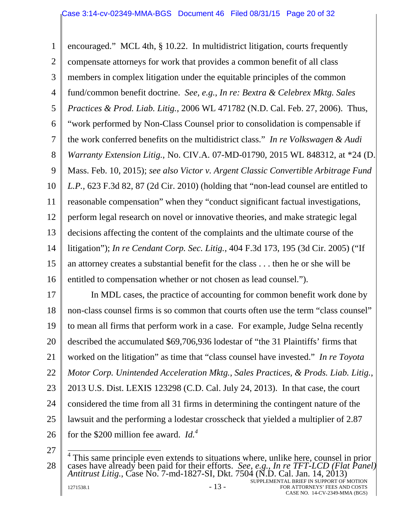1 2 3 4 5 6 7 8 9 10 11 12 13 14 15 16 encouraged." MCL 4th, § 10.22. In multidistrict litigation, courts frequently compensate attorneys for work that provides a common benefit of all class members in complex litigation under the equitable principles of the common fund/common benefit doctrine. *See, e.g.*, *In re: Bextra & Celebrex Mktg. Sales Practices & Prod. Liab. Litig.*, 2006 WL 471782 (N.D. Cal. Feb. 27, 2006). Thus, "work performed by Non-Class Counsel prior to consolidation is compensable if the work conferred benefits on the multidistrict class." *In re Volkswagen & Audi Warranty Extension Litig.*, No. CIV.A. 07-MD-01790, 2015 WL 848312, at \*24 (D. Mass. Feb. 10, 2015); *see also Victor v. Argent Classic Convertible Arbitrage Fund L.P.*, 623 F.3d 82, 87 (2d Cir. 2010) (holding that "non-lead counsel are entitled to reasonable compensation" when they "conduct significant factual investigations, perform legal research on novel or innovative theories, and make strategic legal decisions affecting the content of the complaints and the ultimate course of the litigation"); *In re Cendant Corp. Sec. Litig.*, 404 F.3d 173, 195 (3d Cir. 2005) ("If an attorney creates a substantial benefit for the class . . . then he or she will be entitled to compensation whether or not chosen as lead counsel.").

17 18 19 20 21 22 23 24 25 26 In MDL cases, the practice of accounting for common benefit work done by non-class counsel firms is so common that courts often use the term "class counsel" to mean all firms that perform work in a case. For example, Judge Selna recently described the accumulated \$69,706,936 lodestar of "the 31 Plaintiffs' firms that worked on the litigation" as time that "class counsel have invested." *In re Toyota Motor Corp. Unintended Acceleration Mktg., Sales Practices, & Prods. Liab. Litig.*, 2013 U.S. Dist. LEXIS 123298 (C.D. Cal. July 24, 2013). In that case, the court considered the time from all 31 firms in determining the contingent nature of the lawsuit and the performing a lodestar crosscheck that yielded a multiplier of 2.87 for the \$200 million fee award. *Id.<sup>4</sup>*

27

<sup>28</sup>   $1271538.1$  -  $13$  -SUPPLEMENTAL BRIEF IN SUPPORT OF MOTION FOR ATTORNEYS' FEES AND COSTS <sup>4</sup> This same principle even extends to situations where, unlike here, counsel in prior<br>cases have already been paid for their efforts. *See, e.g., In re TFT-LCD (Flat Panel)*<br>Antitrust Litig., Case No. 7-md-1827-SI, Dkt.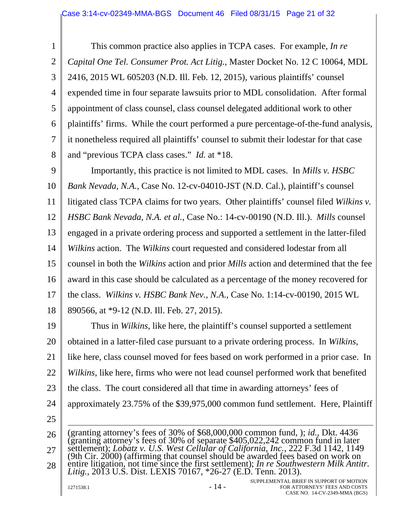1 2 3 4 5 6 7 8 This common practice also applies in TCPA cases. For example, *In re Capital One Tel. Consumer Prot. Act Litig.*, Master Docket No. 12 C 10064, MDL 2416, 2015 WL 605203 (N.D. Ill. Feb. 12, 2015), various plaintiffs' counsel expended time in four separate lawsuits prior to MDL consolidation. After formal appointment of class counsel, class counsel delegated additional work to other plaintiffs' firms. While the court performed a pure percentage-of-the-fund analysis, it nonetheless required all plaintiffs' counsel to submit their lodestar for that case and "previous TCPA class cases." *Id.* at \*18.

9 10 11 12 13 14 15 16 17 18 Importantly, this practice is not limited to MDL cases. In *Mills v. HSBC Bank Nevada, N.A.*, Case No. 12-cv-04010-JST (N.D. Cal.), plaintiff's counsel litigated class TCPA claims for two years. Other plaintiffs' counsel filed *Wilkins v. HSBC Bank Nevada, N.A. et al.*, Case No.: 14-cv-00190 (N.D. Ill.). *Mills* counsel engaged in a private ordering process and supported a settlement in the latter-filed *Wilkins* action. The *Wilkins* court requested and considered lodestar from all counsel in both the *Wilkins* action and prior *Mills* action and determined that the fee award in this case should be calculated as a percentage of the money recovered for the class. *Wilkins v. HSBC Bank Nev., N.A.*, Case No. 1:14-cv-00190, 2015 WL 890566, at \*9-12 (N.D. Ill. Feb. 27, 2015).

19 20 21 22 23 24 25 Thus in *Wilkins*, like here, the plaintiff's counsel supported a settlement obtained in a latter-filed case pursuant to a private ordering process. In *Wilkins*, like here, class counsel moved for fees based on work performed in a prior case. In *Wilkins*, like here, firms who were not lead counsel performed work that benefited the class. The court considered all that time in awarding attorneys' fees of approximately 23.75% of the \$39,975,000 common fund settlement. Here, Plaintiff

26 27 28 (granting attorney's fees of 30% of \$68,000,000 common fund, ); *id.*, Dkt. 4436 (granting attorney's fees of 30% of separate \$405,022,242 common fund in later settlement); *Lobatz v. U.S. West Cellular of California, Inc.*, 222 F.3d 1142, 1149 (9th Cir. 2000) (affirming that counsel should be awarded fees based on work on entire litigation, not time since the first settlement); *In re Southwestern Milk Antitr. Litig.*, 2013 U.S. Dist. LEXIS 70167, \*26-27 (E.D. Tenn. 2013).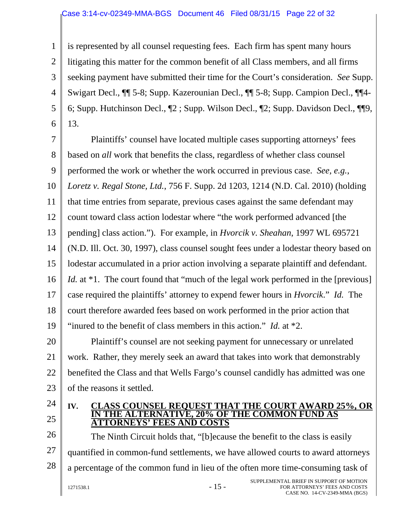#### Case 3:14-cv-02349-MMA-BGS Document 46 Filed 08/31/15 Page 22 of 32

1 2 3 4 5 6 is represented by all counsel requesting fees. Each firm has spent many hours litigating this matter for the common benefit of all Class members, and all firms seeking payment have submitted their time for the Court's consideration. *See* Supp. Swigart Decl., ¶¶ 5-8; Supp. Kazerounian Decl., ¶¶ 5-8; Supp. Campion Decl., ¶¶4- 6; Supp. Hutchinson Decl., ¶2 ; Supp. Wilson Decl., ¶2; Supp. Davidson Decl., ¶¶9, 13.

7 8 9 10 11 12 13 14 15 16 17 18 19 20 21 Plaintiffs' counsel have located multiple cases supporting attorneys' fees based on *all* work that benefits the class, regardless of whether class counsel performed the work or whether the work occurred in previous case. *See, e.g.*, *Loretz v. Regal Stone, Ltd.*, 756 F. Supp. 2d 1203, 1214 (N.D. Cal. 2010) (holding that time entries from separate, previous cases against the same defendant may count toward class action lodestar where "the work performed advanced [the pending] class action."). For example, in *Hvorcik v. Sheahan*, 1997 WL 695721 (N.D. Ill. Oct. 30, 1997), class counsel sought fees under a lodestar theory based on lodestar accumulated in a prior action involving a separate plaintiff and defendant. *Id.* at \*1. The court found that "much of the legal work performed in the [previous] case required the plaintiffs' attorney to expend fewer hours in *Hvorcik*." *Id.* The court therefore awarded fees based on work performed in the prior action that "inured to the benefit of class members in this action." *Id.* at \*2. Plaintiff's counsel are not seeking payment for unnecessary or unrelated

22 23 work. Rather, they merely seek an award that takes into work that demonstrably benefited the Class and that Wells Fargo's counsel candidly has admitted was one of the reasons it settled.

- 24
- 25

#### **IV. CLASS COUNSEL REQUEST THAT THE COURT AWARD 25%, OR IN THE ALTERNATIVE, 20% OF THE COMMON FUND AS ATTORNEYS' FEES AND COSTS**

26 27 28  $1271538.1$  -  $15$  -SUPPLEMENTAL BRIEF IN SUPPORT OF MOTION The Ninth Circuit holds that, "[b]ecause the benefit to the class is easily quantified in common-fund settlements, we have allowed courts to award attorneys a percentage of the common fund in lieu of the often more time-consuming task of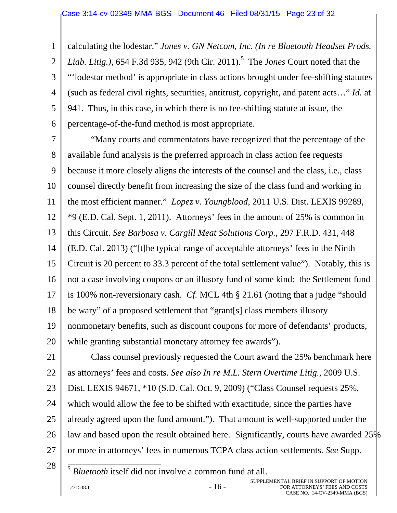1 2 3 4 5 6 calculating the lodestar." *Jones v. GN Netcom, Inc. (In re Bluetooth Headset Prods.*  Liab. Litig.), 654 F.3d 935, 942 (9th Cir. 2011).<sup>5</sup> The *Jones* Court noted that the "'lodestar method' is appropriate in class actions brought under fee-shifting statutes (such as federal civil rights, securities, antitrust, copyright, and patent acts…" *Id.* at 941. Thus, in this case, in which there is no fee-shifting statute at issue, the percentage-of-the-fund method is most appropriate.

7 8 9 10 11 12 13 14 15 16 17 18 19 20 "Many courts and commentators have recognized that the percentage of the available fund analysis is the preferred approach in class action fee requests because it more closely aligns the interests of the counsel and the class, i.e., class counsel directly benefit from increasing the size of the class fund and working in the most efficient manner." *Lopez v. Youngblood*, 2011 U.S. Dist. LEXIS 99289, \*9 (E.D. Cal. Sept. 1, 2011). Attorneys' fees in the amount of 25% is common in this Circuit. *See Barbosa v. Cargill Meat Solutions Corp.*, 297 F.R.D. 431, 448 (E.D. Cal. 2013) ("[t]he typical range of acceptable attorneys' fees in the Ninth Circuit is 20 percent to 33.3 percent of the total settlement value"). Notably, this is not a case involving coupons or an illusory fund of some kind: the Settlement fund is 100% non-reversionary cash. *Cf.* MCL 4th § 21.61 (noting that a judge "should be wary" of a proposed settlement that "grant[s] class members illusory nonmonetary benefits, such as discount coupons for more of defendants' products, while granting substantial monetary attorney fee awards").

21 22 23 24 25 26 27 Class counsel previously requested the Court award the 25% benchmark here as attorneys' fees and costs. *See also In re M.L. Stern Overtime Litig.*, 2009 U.S. Dist. LEXIS 94671, \*10 (S.D. Cal. Oct. 9, 2009) ("Class Counsel requests 25%, which would allow the fee to be shifted with exactitude, since the parties have already agreed upon the fund amount."). That amount is well-supported under the law and based upon the result obtained here. Significantly, courts have awarded 25% or more in attorneys' fees in numerous TCPA class action settlements. *See* Supp.

28

<sup>5</sup> *Bluetooth* itself did not involve a common fund at all.

 $1271538.1$  - 16 -

 $\overline{z}$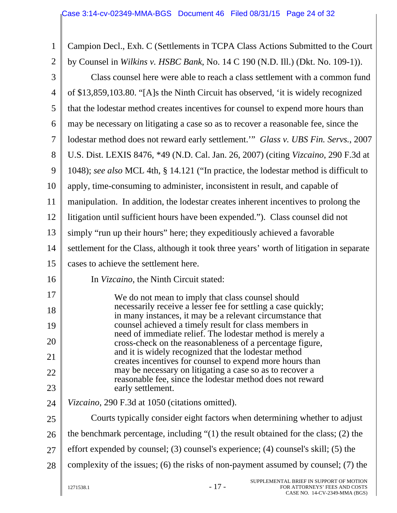| $\mathbf{1}$   | Campion Decl., Exh. C (Settlements in TCPA Class Actions Submitted to the Court                                                  |  |
|----------------|----------------------------------------------------------------------------------------------------------------------------------|--|
| $\overline{2}$ | by Counsel in Wilkins v. HSBC Bank, No. 14 C 190 (N.D. Ill.) (Dkt. No. 109-1)).                                                  |  |
| 3              | Class counsel here were able to reach a class settlement with a common fund                                                      |  |
| $\overline{4}$ | of \$13,859,103.80. "[A]s the Ninth Circuit has observed, 'it is widely recognized                                               |  |
| 5              | that the lodestar method creates incentives for counsel to expend more hours than                                                |  |
| 6              | may be necessary on litigating a case so as to recover a reasonable fee, since the                                               |  |
| 7              | lodestar method does not reward early settlement." Glass v. UBS Fin. Servs., 2007                                                |  |
| 8              | U.S. Dist. LEXIS 8476, *49 (N.D. Cal. Jan. 26, 2007) (citing Vizcaino, 290 F.3d at                                               |  |
| 9              | 1048); see also MCL 4th, § 14.121 ("In practice, the lodestar method is difficult to                                             |  |
| 10             | apply, time-consuming to administer, inconsistent in result, and capable of                                                      |  |
| 11             | manipulation. In addition, the lodestar creates inherent incentives to prolong the                                               |  |
| 12             | litigation until sufficient hours have been expended."). Class counsel did not                                                   |  |
| 13             | simply "run up their hours" here; they expeditiously achieved a favorable                                                        |  |
| 14             | settlement for the Class, although it took three years' worth of litigation in separate                                          |  |
| 15             | cases to achieve the settlement here.                                                                                            |  |
| 16             | In Vizcaino, the Ninth Circuit stated:                                                                                           |  |
| 17             | We do not mean to imply that class counsel should                                                                                |  |
| 18             | necessarily receive a lesser fee for settling a case quickly;<br>in many instances, it may be a relevant circumstance that       |  |
| 19             | counsel achieved a timely result for class members in<br>need of immediate relief. The lodestar method is merely a               |  |
| 20             | cross-check on the reasonableness of a percentage figure,                                                                        |  |
| 21             | and it is widely recognized that the lodestar method<br>creates incentives for counsel to expend more hours than                 |  |
| 22             | may be necessary on litigating a case so as to recover a<br>reasonable fee, since the lodestar method does not reward            |  |
| 23             | early settlement.                                                                                                                |  |
| 24             | Vizcaino, 290 F.3d at 1050 (citations omitted).                                                                                  |  |
| 25             | Courts typically consider eight factors when determining whether to adjust                                                       |  |
| 26             | the benchmark percentage, including $\degree(1)$ the result obtained for the class; (2) the                                      |  |
| 27             | effort expended by counsel; (3) counsel's experience; (4) counsel's skill; (5) the                                               |  |
| 28             | complexity of the issues; (6) the risks of non-payment assumed by counsel; (7) the                                               |  |
|                | SUPPLEMENTAL BRIEF IN SUPPORT OF MOTION<br>$-17-$<br>1271538.1<br>FOR ATTORNEYS' FEES AND COSTS<br>CASE NO. 14-CV-2349-MMA (BGS) |  |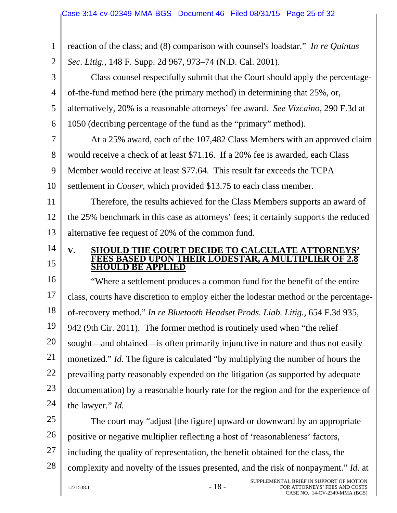| 1              | reaction of the class; and (8) comparison with counsel's loadstar." In re Quintus     |
|----------------|---------------------------------------------------------------------------------------|
| $\overline{2}$ | Sec. Litig., 148 F. Supp. 2d 967, 973–74 (N.D. Cal. 2001).                            |
| 3              | Class counsel respectfully submit that the Court should apply the percentage-         |
| $\overline{4}$ | of-the-fund method here (the primary method) in determining that 25%, or,             |
| 5              | alternatively, 20% is a reasonable attorneys' fee award. See Vizcaino, 290 F.3d at    |
| 6              | 1050 (decribing percentage of the fund as the "primary" method).                      |
| $\overline{7}$ | At a 25% award, each of the 107,482 Class Members with an approved claim              |
| 8              | would receive a check of at least \$71.16. If a 20% fee is awarded, each Class        |
| 9              | Member would receive at least \$77.64. This result far exceeds the TCPA               |
| 10             | settlement in <i>Couser</i> , which provided \$13.75 to each class member.            |
| 11             | Therefore, the results achieved for the Class Members supports an award of            |
| 12             | the 25% benchmark in this case as attorneys' fees; it certainly supports the reduced  |
| 13             | alternative fee request of 20% of the common fund.                                    |
| 14             | <b>SHOULD THE COURT DECIDE TO CALCULATE ATTORNEYS'</b><br>V.                          |
| 15             | <b>EES BASED UPON THEIR LODESTAR, A MULTIPLIER OF 2.8</b><br>LD BE APPLIED            |
| 16             | "Where a settlement produces a common fund for the benefit of the entire              |
| 17             | class, courts have discretion to employ either the lodestar method or the percentage- |
| 18             | of-recovery method." In re Bluetooth Headset Prods. Liab. Litig., 654 F.3d 935,       |
| 19             | 942 (9th Cir. 2011). The former method is routinely used when "the relief"            |
| 20             | sought—and obtained—is often primarily injunctive in nature and thus not easily       |
| 21             | monetized." Id. The figure is calculated "by multiplying the number of hours the      |
| 22             | prevailing party reasonably expended on the litigation (as supported by adequate      |
| 23             | documentation) by a reasonable hourly rate for the region and for the experience of   |
| 24             | the lawyer." <i>Id.</i>                                                               |
| 25             | The court may "adjust [the figure] upward or downward by an appropriate               |
| 26             | positive or negative multiplier reflecting a host of 'reasonableness' factors,        |
| 27             | including the quality of representation, the benefit obtained for the class, the      |
| 28             | complexity and novelty of the issues presented, and the risk of nonpayment." Id. at   |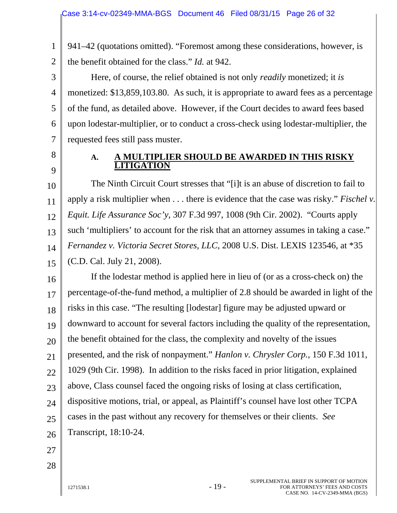941–42 (quotations omitted). "Foremost among these considerations, however, is the benefit obtained for the class." *Id.* at 942.

3 4 6 Here, of course, the relief obtained is not only *readily* monetized; it *is* monetized: \$13,859,103.80. As such, it is appropriate to award fees as a percentage of the fund, as detailed above. However, if the Court decides to award fees based upon lodestar-multiplier, or to conduct a cross-check using lodestar-multiplier, the requested fees still pass muster.

8 9

7

1

2

5

### **A. A MULTIPLIER SHOULD BE AWARDED IN THIS RISKY LITIGATION**

10 11 12 13 14 15 The Ninth Circuit Court stresses that "[i]t is an abuse of discretion to fail to apply a risk multiplier when . . . there is evidence that the case was risky." *Fischel v. Equit. Life Assurance Soc'y*, 307 F.3d 997, 1008 (9th Cir. 2002). "Courts apply such 'multipliers' to account for the risk that an attorney assumes in taking a case." *Fernandez v. Victoria Secret Stores, LLC*, 2008 U.S. Dist. LEXIS 123546, at \*35 (C.D. Cal. July 21, 2008).

16 17 18 19 20 21 22 23 24 25 26 If the lodestar method is applied here in lieu of (or as a cross-check on) the percentage-of-the-fund method, a multiplier of 2.8 should be awarded in light of the risks in this case. "The resulting [lodestar] figure may be adjusted upward or downward to account for several factors including the quality of the representation, the benefit obtained for the class, the complexity and novelty of the issues presented, and the risk of nonpayment." *Hanlon v. Chrysler Corp.*, 150 F.3d 1011, 1029 (9th Cir. 1998). In addition to the risks faced in prior litigation, explained above, Class counsel faced the ongoing risks of losing at class certification, dispositive motions, trial, or appeal, as Plaintiff's counsel have lost other TCPA cases in the past without any recovery for themselves or their clients. *See* Transcript, 18:10-24.

- 27
- 28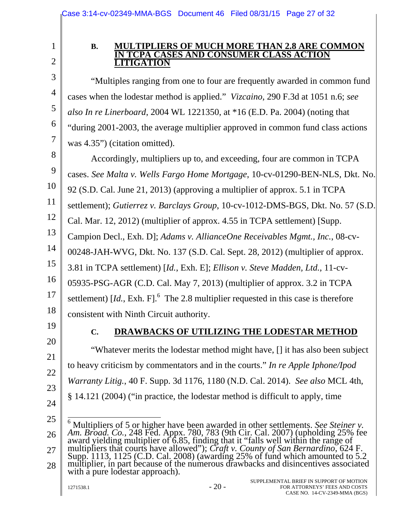2

3

4

5

6

7

1

### **B. MULTIPLIERS OF MUCH MORE THAN 2.8 ARE COMMON IN TCPA CASES AND CONSUMER CLASS ACTION LITIGATION**

"Multiples ranging from one to four are frequently awarded in common fund cases when the lodestar method is applied." *Vizcaino*, 290 F.3d at 1051 n.6; *see also In re Linerboard*, 2004 WL 1221350, at \*16 (E.D. Pa. 2004) (noting that "during 2001-2003, the average multiplier approved in common fund class actions was 4.35") (citation omitted).

8 9 10 11 12 13 14 15 16 17 18 Accordingly, multipliers up to, and exceeding, four are common in TCPA cases. *See Malta v. Wells Fargo Home Mortgage*, 10-cv-01290-BEN-NLS, Dkt. No. 92 (S.D. Cal. June 21, 2013) (approving a multiplier of approx. 5.1 in TCPA settlement); *Gutierrez v. Barclays Group*, 10-cv-1012-DMS-BGS, Dkt. No. 57 (S.D. Cal. Mar. 12, 2012) (multiplier of approx. 4.55 in TCPA settlement) [Supp. Campion Decl., Exh. D]; *Adams v. AllianceOne Receivables Mgmt., Inc.*, 08-cv-00248-JAH-WVG, Dkt. No. 137 (S.D. Cal. Sept. 28, 2012) (multiplier of approx. 3.81 in TCPA settlement) [*Id.*, Exh. E]; *Ellison v. Steve Madden, Ltd.*, 11-cv-05935-PSG-AGR (C.D. Cal. May 7, 2013) (multiplier of approx. 3.2 in TCPA settlement)  $Id.$ , Exh. F]. $^{6}$  The 2.8 multiplier requested in this case is therefore consistent with Ninth Circuit authority.

19

20

21

22

23

24

## **C. DRAWBACKS OF UTILIZING THE LODESTAR METHOD**

"Whatever merits the lodestar method might have, [] it has also been subject to heavy criticism by commentators and in the courts." *In re Apple Iphone/Ipod Warranty Litig.*, 40 F. Supp. 3d 1176, 1180 (N.D. Cal. 2014). *See also* MCL 4th, § 14.121 (2004) ("in practice, the lodestar method is difficult to apply, time

<sup>25</sup>  26 27  $\overline{\phantom{a}}$ 6 Multipliers of 5 or higher have been awarded in other settlements. *See Steiner v.*  Am. Broad. Co., 248 Fed. Appx. 780, 783 (9th Cir. Cal. 2007) (upholding 25% fee award yielding multiplier of 6.85, finding that it "falls well within the range of multipliers that courts have allowed"); *Craft v. County of* 

<sup>28</sup>  Supp. 1113, 1125 (C.D. Cal. 2008) (awarding 25% of fund which amounted to 5.2 multiplier, in part because of the numerous drawbacks and disincentives associated multiplier, in part because of the numerous drawbacks and disincentives associated with a pure lodestar approach).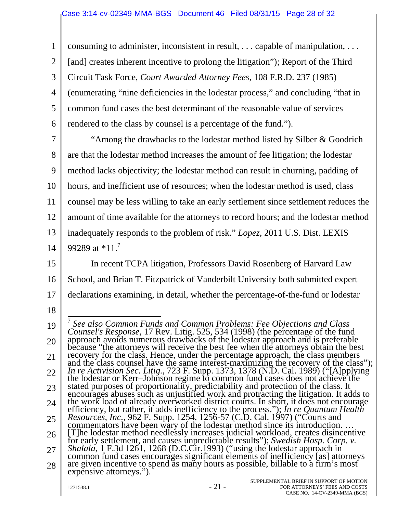1 2 3 4 5 6 consuming to administer, inconsistent in result, . . . capable of manipulation, . . . [and] creates inherent incentive to prolong the litigation"); Report of the Third Circuit Task Force, *Court Awarded Attorney Fees*, 108 F.R.D. 237 (1985) (enumerating "nine deficiencies in the lodestar process," and concluding "that in common fund cases the best determinant of the reasonable value of services rendered to the class by counsel is a percentage of the fund.").

7 8 9 10 11 12 13 14 "Among the drawbacks to the lodestar method listed by Silber & Goodrich are that the lodestar method increases the amount of fee litigation; the lodestar method lacks objectivity; the lodestar method can result in churning, padding of hours, and inefficient use of resources; when the lodestar method is used, class counsel may be less willing to take an early settlement since settlement reduces the amount of time available for the attorneys to record hours; and the lodestar method inadequately responds to the problem of risk." *Lopez*, 2011 U.S. Dist. LEXIS 99289 at  $*11$ .<sup>7</sup>

15 16 17 In recent TCPA litigation, Professors David Rosenberg of Harvard Law School, and Brian T. Fitzpatrick of Vanderbilt University both submitted expert declarations examining, in detail, whether the percentage-of-the-fund or lodestar

18

<sup>19</sup>  20 21 22 23 24 25 26 27 28  $1271538.1$  -  $21$  -SUPPLEMENTAL BRIEF IN SUPPORT OF MOTION <sup>7</sup> See also Common Funds and Common Problems: Fee Objections and Class Counsel's Response, 17 Rev. Litig. 525, 534 (1998) (the percentage of the fund<br>approach avoids numerous drawbacks of the lodestar approach and is preferable<br>because "the attorneys will receive the best fee when the attorne stated purposes of proportionality, predictability and protection of the class. It<br>encourages abuses such as unjustified work and protracting the litigation. It adds to<br>the work load of already overworked district courts. efficiency, but rather, it adds inefficiency to the process."); *In re Quantum Health Resources, Inc.*, 962 F. Supp. 1254, 1256-57 (C.D. Cal. 1997) ("Courts and commentators have been wary of the lodestar method since its [T]he lodestar method needlessly increases judicial workload, creates disincentive Figure Rocessian memoral receives in increases yearchit with Nicolal distributed for early settlement, and causes unpredictable results"); *Swedish Hosp. Corp. v.*<br>*Shalala*, 1 F.3d 1261, 1268 (D.C.Cir.1993) ("using the lo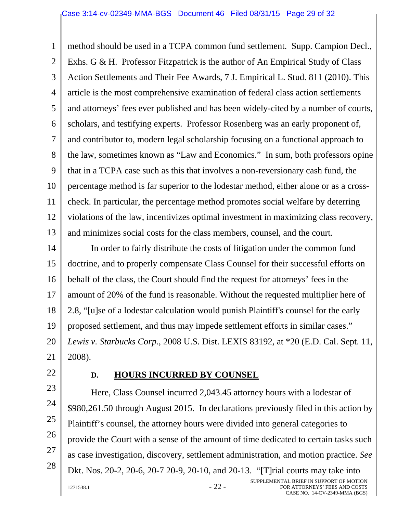#### Case 3:14-cv-02349-MMA-BGS Document 46 Filed 08/31/15 Page 29 of 32

1 2 3 4 5 6 7 8 9 10 11 12 13 method should be used in a TCPA common fund settlement. Supp. Campion Decl., Exhs. G & H. Professor Fitzpatrick is the author of An Empirical Study of Class Action Settlements and Their Fee Awards, 7 J. Empirical L. Stud. 811 (2010). This article is the most comprehensive examination of federal class action settlements and attorneys' fees ever published and has been widely-cited by a number of courts, scholars, and testifying experts. Professor Rosenberg was an early proponent of, and contributor to, modern legal scholarship focusing on a functional approach to the law, sometimes known as "Law and Economics." In sum, both professors opine that in a TCPA case such as this that involves a non-reversionary cash fund, the percentage method is far superior to the lodestar method, either alone or as a crosscheck. In particular, the percentage method promotes social welfare by deterring violations of the law, incentivizes optimal investment in maximizing class recovery, and minimizes social costs for the class members, counsel, and the court.

14 15 16 17 18 19 20 21 In order to fairly distribute the costs of litigation under the common fund doctrine, and to properly compensate Class Counsel for their successful efforts on behalf of the class, the Court should find the request for attorneys' fees in the amount of 20% of the fund is reasonable. Without the requested multiplier here of 2.8, "[u]se of a lodestar calculation would punish Plaintiff's counsel for the early proposed settlement, and thus may impede settlement efforts in similar cases." *Lewis v. Starbucks Corp.*, 2008 U.S. Dist. LEXIS 83192, at \*20 (E.D. Cal. Sept. 11, 2008).

22

23

24

25

26

27

28

#### **D. HOURS INCURRED BY COUNSEL**

 $1271538.1$  -  $22$  -SUPPLEMENTAL BRIEF IN SUPPORT OF MOTION Here, Class Counsel incurred 2,043.45 attorney hours with a lodestar of \$980,261.50 through August 2015. In declarations previously filed in this action by Plaintiff's counsel, the attorney hours were divided into general categories to provide the Court with a sense of the amount of time dedicated to certain tasks such as case investigation, discovery, settlement administration, and motion practice. *See* Dkt. Nos. 20-2, 20-6, 20-7 20-9, 20-10, and 20-13. "[T]rial courts may take into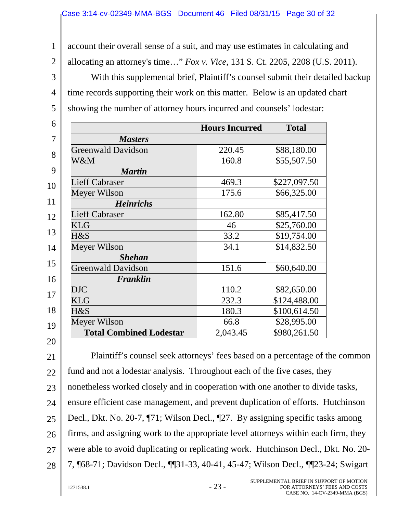1 2 3 4 5 account their overall sense of a suit, and may use estimates in calculating and allocating an attorney's time…" *Fox v. Vice*, 131 S. Ct. 2205, 2208 (U.S. 2011). With this supplemental brief, Plaintiff's counsel submit their detailed backup time records supporting their work on this matter. Below is an updated chart showing the number of attorney hours incurred and counsels' lodestar:

|                                | <b>Hours Incurred</b> | <b>Total</b> |
|--------------------------------|-----------------------|--------------|
| <b>Masters</b>                 |                       |              |
| <b>Greenwald Davidson</b>      | 220.45                | \$88,180.00  |
| W&M                            | 160.8                 | \$55,507.50  |
| <b>Martin</b>                  |                       |              |
| <b>Lieff Cabraser</b>          | 469.3                 | \$227,097.50 |
| Meyer Wilson                   | 175.6                 | \$66,325.00  |
| <b>Heinrichs</b>               |                       |              |
| <b>Lieff Cabraser</b>          | 162.80                | \$85,417.50  |
| <b>KLG</b>                     | 46                    | \$25,760.00  |
| $H\&S$                         | 33.2                  | \$19,754.00  |
| Meyer Wilson                   | 34.1                  | \$14,832.50  |
| <b>Shehan</b>                  |                       |              |
| <b>Greenwald Davidson</b>      | 151.6                 | \$60,640.00  |
| Franklin                       |                       |              |
| <b>DJC</b>                     | 110.2                 | \$82,650.00  |
| <b>KLG</b>                     | 232.3                 | \$124,488.00 |
| $H\&S$                         | 180.3                 | \$100,614.50 |
| Meyer Wilson                   | 66.8                  | \$28,995.00  |
| <b>Total Combined Lodestar</b> | 2,043.45              | \$980,261.50 |

21 22 23 24 25 26 27 28 Plaintiff's counsel seek attorneys' fees based on a percentage of the common fund and not a lodestar analysis. Throughout each of the five cases, they nonetheless worked closely and in cooperation with one another to divide tasks, ensure efficient case management, and prevent duplication of efforts. Hutchinson Decl., Dkt. No. 20-7, ¶71; Wilson Decl., ¶27. By assigning specific tasks among firms, and assigning work to the appropriate level attorneys within each firm, they were able to avoid duplicating or replicating work. Hutchinson Decl., Dkt. No. 20- 7, ¶68-71; Davidson Decl., ¶¶31-33, 40-41, 45-47; Wilson Decl., ¶¶23-24; Swigart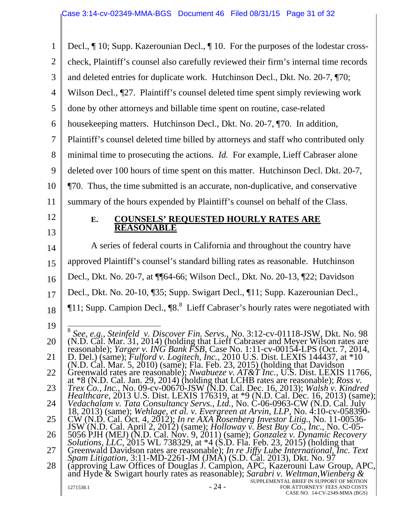| $\mathbf{1}$   | Decl., ¶ 10; Supp. Kazerounian Decl., ¶ 10. For the purposes of the lodestar cross-                                                                                                                                                    |
|----------------|----------------------------------------------------------------------------------------------------------------------------------------------------------------------------------------------------------------------------------------|
| $\overline{2}$ | check, Plaintiff's counsel also carefully reviewed their firm's internal time records                                                                                                                                                  |
| 3              | and deleted entries for duplicate work. Hutchinson Decl., Dkt. No. 20-7, ¶70;                                                                                                                                                          |
| $\overline{4}$ | Wilson Decl., ¶27. Plaintiff's counsel deleted time spent simply reviewing work                                                                                                                                                        |
| 5              | done by other attorneys and billable time spent on routine, case-related                                                                                                                                                               |
| 6              | housekeeping matters. Hutchinson Decl., Dkt. No. 20-7, ¶70. In addition,                                                                                                                                                               |
| $\overline{7}$ | Plaintiff's counsel deleted time billed by attorneys and staff who contributed only                                                                                                                                                    |
| 8              | minimal time to prosecuting the actions. <i>Id.</i> For example, Lieff Cabraser alone                                                                                                                                                  |
| 9              | deleted over 100 hours of time spent on this matter. Hutchinson Decl. Dkt. 20-7,                                                                                                                                                       |
| 10             | ¶70. Thus, the time submitted is an accurate, non-duplicative, and conservative                                                                                                                                                        |
| 11             | summary of the hours expended by Plaintiff's counsel on behalf of the Class.                                                                                                                                                           |
| 12             | <b>COUNSELS' REQUESTED HOURLY RATES ARE</b><br>E.                                                                                                                                                                                      |
| 13             | <b>REASONABLE</b>                                                                                                                                                                                                                      |
| 14             | A series of federal courts in California and throughout the country have                                                                                                                                                               |
| 15             | approved Plaintiff's counsel's standard billing rates as reasonable. Hutchinson                                                                                                                                                        |
| 16             | Decl., Dkt. No. 20-7, at ¶¶64-66; Wilson Decl., Dkt. No. 20-13, ¶22; Davidson                                                                                                                                                          |
| 17             | Decl., Dkt. No. 20-10, [35; Supp. Swigart Decl., [11; Supp. Kazerounian Decl.,                                                                                                                                                         |
| 18             | $\P$ 11; Supp. Campion Decl., $\P$ 8. <sup>8</sup> Lieff Cabraser's hourly rates were negotiated with                                                                                                                                  |
| 19             |                                                                                                                                                                                                                                        |
| 20             | See, e.g., Steinfeld v. Discover Fin. Servs., No. 3:12-cv-01118-JSW, Dkt. No. 98<br>(N.D. Cal. Mar. 31, 2014) (holding that Lieff Cabraser and Meyer Wilson rates are                                                                  |
| 21             | reasonable); <i>Yarger v. ING Bank FSB</i> , Case No. 1:11-cv-00154-LPS (Oct. 7, 2014,<br>D. Del.) (same); <i>Fulford v. Logitech, Inc.</i> , 2010 U.S. Dist. LEXIS 144437, at *10                                                     |
| 22             | (N.D. Cal. Mar. 5, 2010) (same); Fla. Feb. 23, 2015) (holding that Davidson<br>Greenwald rates are reasonable); <i>Nwabueze v. AT&amp;T Inc.</i> , U.S. Dist. LEXIS 11766,                                                             |
| 23             | at $*8$ (N.D. Cal. Jan. 29, 2014) (holding that LCHB rates are reasonable); <i>Ross v</i> .<br><i>Trex Co., Inc., No.</i> 09-cv-00670-JSW (N.D. Cal. Dec. 16, 2013); <i>Walsh v. Kindred</i>                                           |
| 24             | <i>Healthcare</i> , 2013 U.S. Dist. LEXIS 176319, at *9 (N.D. Cal. Dec. 16, 2013) (same);<br>Vedachalam v. Tata Consultancy Servs., Ltd., No. C-06-0963-CW (N.D. Cal. July                                                             |
| 25             | 18, 2013) (same); <i>Wehlage, et al. v. Evergreen at Arvin, LLP</i> , No. 4:10-cv-058390-<br>$CW$ (N.D. Cal. Oct. 4, 2012); In re AXA Rosenberg Investor Litig., No. 11-00536-                                                         |
| 26             | JSW (N.D. Cal. April 2, 2012) (same); <i>Holloway v. Best Buy Co., Inc.</i> , No. C-05-<br>5056 PJH (MEJ) (N.D. Cal. Nov. 9, 2011) (same); <i>Gonzalez v. Dynamic Recovery</i>                                                         |
| 27             | <i>Solutions, LLC, 2015 WL 738329, at *4 (S.D. Fla. Feb. 23, 2015)</i> (holding that<br>Greenwald Davidson rates are reasonable); In re Jiffy Lube International, Inc. Text                                                            |
| 28             | Spam Litigation, 3:11-MD-2261-JM (JMA) (S.D. Cal. 2013), Dkt. No. 97<br>(approving Law Offices of Douglas J. Campion, APC, Kazerouni Law Group, APC,<br>and Hyde & Swigart hourly rates as reasonable); Sarabri v. Weltman, Wienberg & |
|                | SUPPLEMENTAL BRIEF IN SUPPORT OF MOTION<br>$-24-$<br>1271538.1<br>FOR ATTORNEYS' FEES AND COSTS<br>CASE NO. 14-CV-2349-MMA (BGS)                                                                                                       |